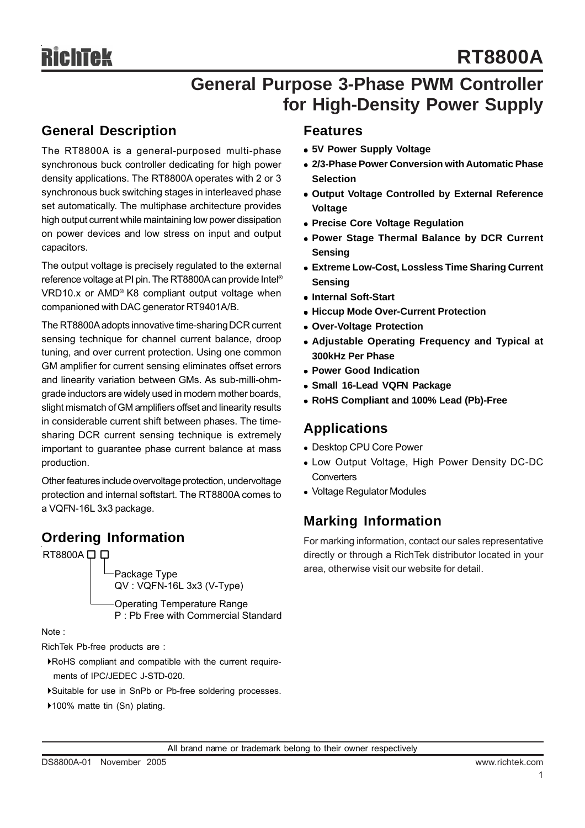## **General Purpose 3-Phase PWM Controller for High-Density Power Supply**

### **General Description**

The RT8800A is a general-purposed multi-phase synchronous buck controller dedicating for high power density applications. The RT8800A operates with 2 or 3 synchronous buck switching stages in interleaved phase set automatically. The multiphase architecture provides high output current while maintaining low power dissipation on power devices and low stress on input and output capacitors.

The output voltage is precisely regulated to the external reference voltage at PI pin. The RT8800A can provide Intel® VRD10.x or AMD® K8 compliant output voltage when companioned with DAC generator RT9401A/B.

The RT8800A adopts innovative time-sharing DCR current sensing technique for channel current balance, droop tuning, and over current protection. Using one common GM amplifier for current sensing eliminates offset errors and linearity variation between GMs. As sub-milli-ohmgrade inductors are widely used in modern mother boards, slight mismatch of GM amplifiers offset and linearity results in considerable current shift between phases. The timesharing DCR current sensing technique is extremely important to guarantee phase current balance at mass production.

Other features include overvoltage protection, undervoltage protection and internal softstart. The RT8800A comes to a VQFN-16L 3x3 package.

### **Ordering Information**

RT8800A  $\square$   $\square$ 

Package Type QV : VQFN-16L 3x3 (V-Type)

Operating Temperature Range P : Pb Free with Commercial Standard

Note :

RichTek Pb-free products are :

- `RoHS compliant and compatible with the current require ments of IPC/JEDEC J-STD-020.
- `Suitable for use in SnPb or Pb-free soldering processes.
- ▶100% matte tin (Sn) plating.

### **Features**

- $\bullet$  **5V Power Supply Voltage**
- **2/3-Phase Power Conversion with Automatic Phase Selection**
- **Output Voltage Controlled by External Reference Voltage**
- **Precise Core Voltage Regulation**
- **Power Stage Thermal Balance by DCR Current Sensing**
- **Extreme Low-Cost, Lossless Time Sharing Current Sensing**
- **Internal Soft-Start**
- **Hiccup Mode Over-Current Protection**
- **Over-Voltage Protection**
- **Adjustable Operating Frequency and Typical at 300kHz Per Phase**
- <sup>z</sup> **Power Good Indication**
- <sup>z</sup> **Small 16-Lead VQFN Package**
- <sup>z</sup> **RoHS Compliant and 100% Lead (Pb)-Free**

### **Applications**

- Desktop CPU Core Power
- Low Output Voltage, High Power Density DC-DC **Converters**
- Voltage Regulator Modules

### **Marking Information**

For marking information, contact our sales representative directly or through a RichTek distributor located in your area, otherwise visit our website for detail.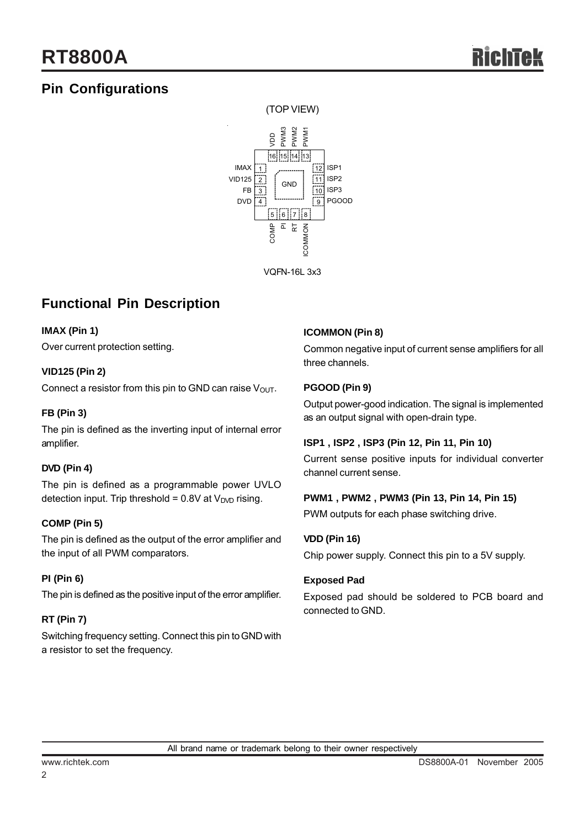## **Pin Configurations**



VQFN-16L 3x3

## **Functional Pin Description**

#### **IMAX (Pin 1)**

Over current protection setting.

#### **VID125 (Pin 2)**

Connect a resistor from this pin to GND can raise  $V_{\text{OUT}}$ .

#### **FB (Pin 3)**

The pin is defined as the inverting input of internal error amplifier.

#### **DVD (Pin 4)**

The pin is defined as a programmable power UVLO detection input. Trip threshold =  $0.8V$  at  $V<sub>DVD</sub>$  rising.

#### **COMP (Pin 5)**

The pin is defined as the output of the error amplifier and the input of all PWM comparators.

#### **PI (Pin 6)**

The pin is defined as the positive input of the error amplifier.

#### **RT (Pin 7)**

Switching frequency setting. Connect this pin to GND with a resistor to set the frequency.

#### **ICOMMON (Pin 8)**

Common negative input of current sense amplifiers for all three channels.

#### **PGOOD (Pin 9)**

Output power-good indication. The signal is implemented as an output signal with open-drain type.

#### **ISP1 , ISP2 , ISP3 (Pin 12, Pin 11, Pin 10)**

Current sense positive inputs for individual converter channel current sense.

#### **PWM1 , PWM2 , PWM3 (Pin 13, Pin 14, Pin 15)**

PWM outputs for each phase switching drive.

#### **VDD (Pin 16)**

Chip power supply. Connect this pin to a 5V supply.

#### **Exposed Pad**

Exposed pad should be soldered to PCB board and connected to GND.

2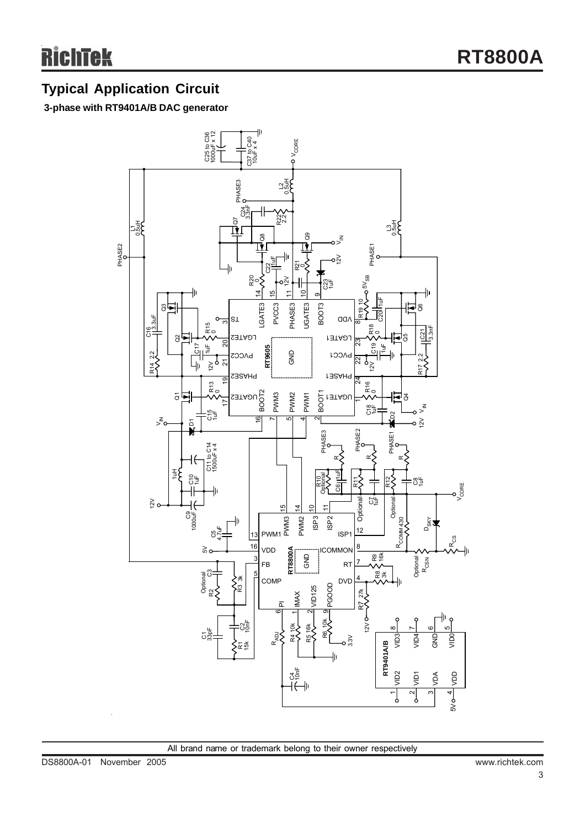## **Typical Application Circuit**

### **3-phase with RT9401A/B DAC generator**

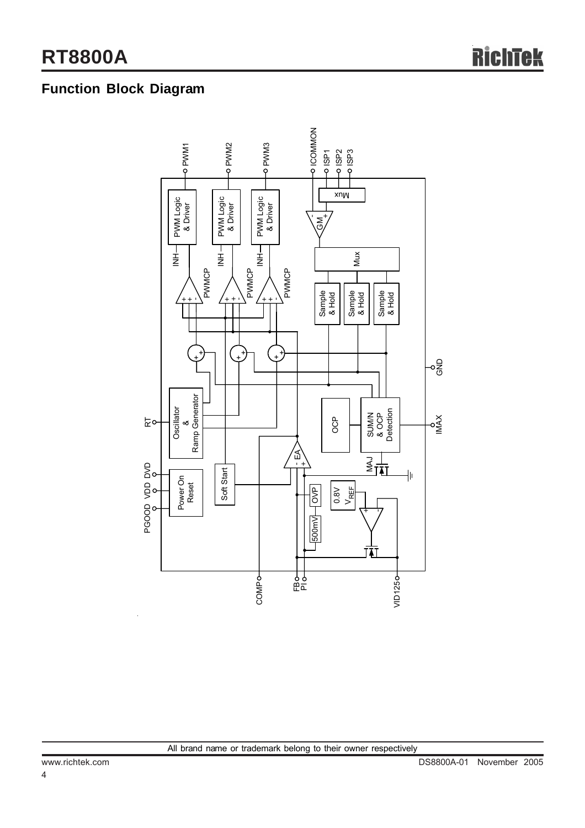## **Function Block Diagram**

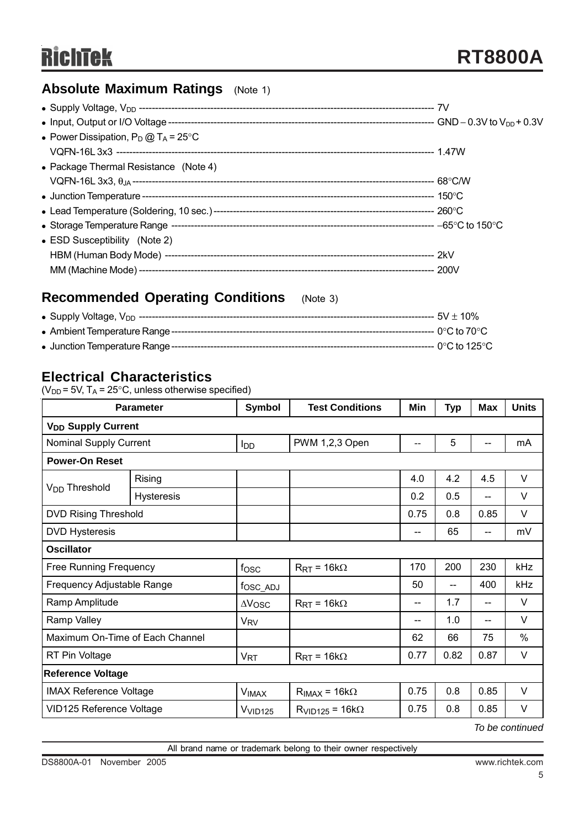## **Absolute Maximum Ratings** (Note 1)

## **Recommended Operating Conditions** (Note 3)

### **Electrical Characteristics**

( $V_{DD}$  = 5V, T<sub>A</sub> = 25°C, unless otherwise specified)

| <b>Parameter</b>                |                   | Symbol                    | <b>Test Conditions</b>         | Min  | <b>Typ</b> | <b>Max</b>                 | <b>Units</b> |  |
|---------------------------------|-------------------|---------------------------|--------------------------------|------|------------|----------------------------|--------------|--|
| V <sub>DD</sub> Supply Current  |                   |                           |                                |      |            |                            |              |  |
| Nominal Supply Current          |                   | <b>I</b> DD               | PWM 1,2,3 Open                 | $-$  | 5          |                            | mA           |  |
| <b>Power-On Reset</b>           |                   |                           |                                |      |            |                            |              |  |
|                                 | Rising            |                           |                                | 4.0  | 4.2        | 4.5                        | V            |  |
| V <sub>DD</sub> Threshold       | <b>Hysteresis</b> |                           |                                | 0.2  | 0.5        | --                         | $\vee$       |  |
| <b>DVD Rising Threshold</b>     |                   |                           |                                | 0.75 | 0.8        | 0.85                       | V            |  |
| <b>DVD Hysteresis</b>           |                   |                           |                                | $-$  | 65         | $\qquad \qquad \text{---}$ | mV           |  |
| <b>Oscillator</b>               |                   |                           |                                |      |            |                            |              |  |
| <b>Free Running Frequency</b>   |                   | f <sub>OSC</sub>          | $R_{\text{RT}}$ = 16k $\Omega$ | 170  | 200        | 230                        | kHz          |  |
| Frequency Adjustable Range      |                   | fosc_ADJ                  |                                | 50   | --         | 400                        | kHz          |  |
| Ramp Amplitude                  |                   | $\Delta V$ <sub>OSC</sub> | $R_{\text{RT}}$ = 16k $\Omega$ | --   | 1.7        | --                         | $\vee$       |  |
| Ramp Valley                     |                   | <b>V<sub>RV</sub></b>     |                                | --   | 1.0        | --                         | $\vee$       |  |
| Maximum On-Time of Each Channel |                   |                           |                                | 62   | 66         | 75                         | %            |  |
| RT Pin Voltage                  |                   | $V_{RT}$                  | $R_{\text{RT}}$ = 16k $\Omega$ | 0.77 | 0.82       | 0.87                       | $\vee$       |  |
| <b>Reference Voltage</b>        |                   |                           |                                |      |            |                            |              |  |
| <b>IMAX Reference Voltage</b>   |                   | <b>VIMAX</b>              | $R_{IMAX} = 16k\Omega$         | 0.75 | 0.8        | 0.85                       | $\vee$       |  |
| VID125 Reference Voltage        |                   | V <sub>VID125</sub>       | $R_{VID125} = 16k\Omega$       | 0.75 | 0.8        | 0.85                       | V            |  |

*To be continued*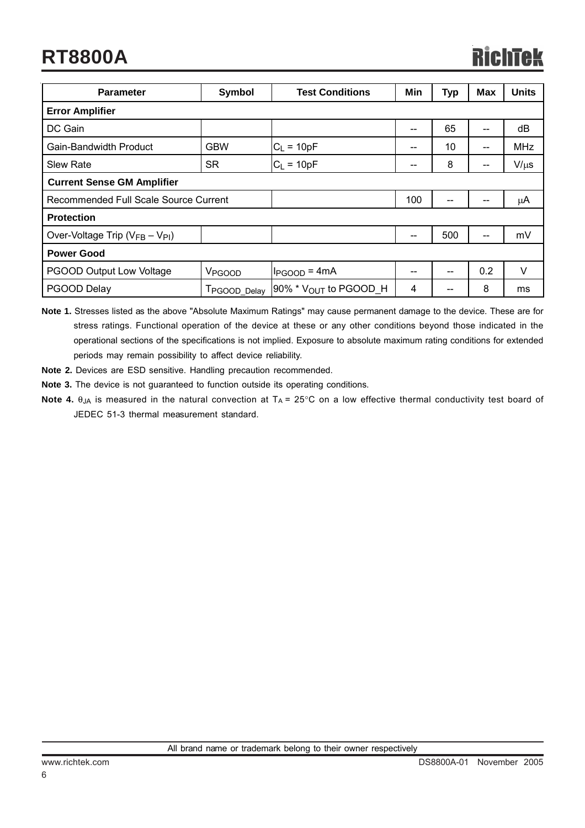## **RT8800A**

| <b>Parameter</b>                                      | Symbol                    | <b>Test Conditions</b>       | Min   | <b>Typ</b> | Max     | <b>Units</b> |  |  |
|-------------------------------------------------------|---------------------------|------------------------------|-------|------------|---------|--------------|--|--|
| <b>Error Amplifier</b>                                |                           |                              |       |            |         |              |  |  |
| DC Gain                                               |                           |                              | --    | 65         | $- -$   | dB           |  |  |
| Gain-Bandwidth Product                                | <b>GBW</b>                | $C_L = 10pF$                 | --    | 10         | --      | <b>MHz</b>   |  |  |
| <b>Slew Rate</b>                                      | <b>SR</b>                 | $C_L = 10pF$                 | $- -$ | 8          | --      | $V/\mu s$    |  |  |
| <b>Current Sense GM Amplifier</b>                     |                           |                              |       |            |         |              |  |  |
| Recommended Full Scale Source Current                 |                           | 100                          |       | --         | $\mu$ A |              |  |  |
| <b>Protection</b>                                     |                           |                              |       |            |         |              |  |  |
| Over-Voltage Trip ( $V_{FB} - V_{PI}$ )               |                           |                              |       | 500        | --      | mV           |  |  |
| <b>Power Good</b>                                     |                           |                              |       |            |         |              |  |  |
| <b>PGOOD Output Low Voltage</b><br>V <sub>PGOOD</sub> |                           | $I_{PGOOD} = 4mA$            | --    |            | 0.2     | V            |  |  |
| PGOOD Delay                                           | T <sub>PGOOD</sub> _Delay | $[90\% * V_{OUT}$ to PGOOD_H | 4     | --         | 8       | ms           |  |  |

**Note 1.** Stresses listed as the above "Absolute Maximum Ratings" may cause permanent damage to the device. These are for stress ratings. Functional operation of the device at these or any other conditions beyond those indicated in the operational sections of the specifications is not implied. Exposure to absolute maximum rating conditions for extended periods may remain possibility to affect device reliability.

- **Note 2.** Devices are ESD sensitive. Handling precaution recommended.
- **Note 3.** The device is not guaranteed to function outside its operating conditions.
- **Note 4.** θ<sub>JA</sub> is measured in the natural convection at T<sub>A</sub> = 25°C on a low effective thermal conductivity test board of JEDEC 51-3 thermal measurement standard.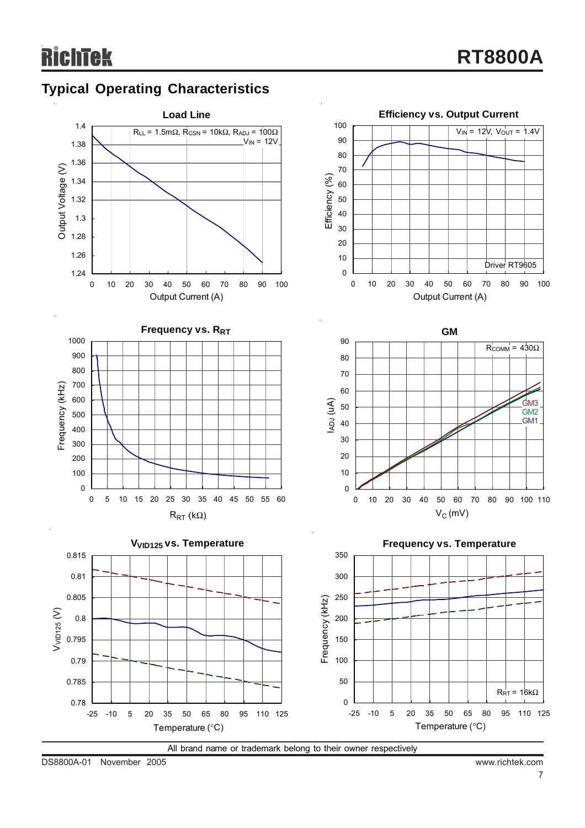## **Typical Operating Characteristics**



All brand name or trademark belong to their owner respectively

DS8800A-01 November 2005 www.richtek.com

 $R_{\text{RT}} = 16k\Omega$ 

GM3 GM2 GM1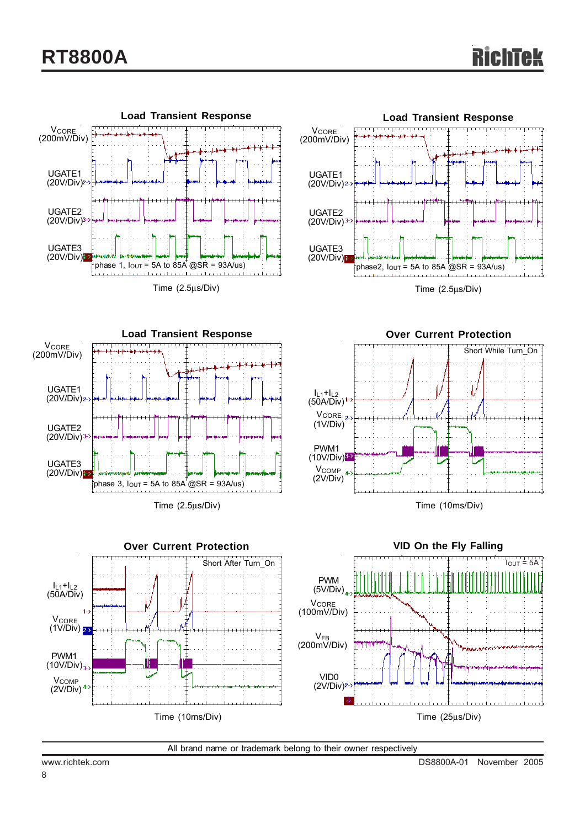







Time (2.5μs/Div)



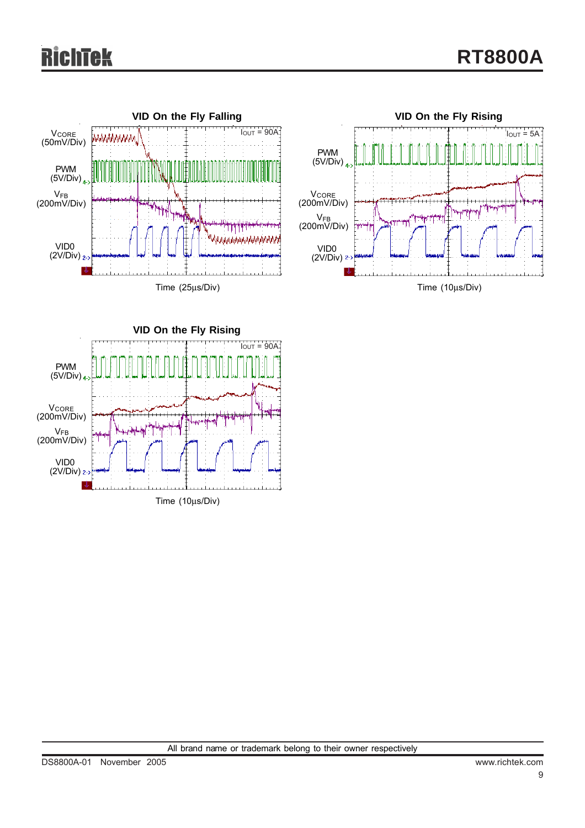# ek





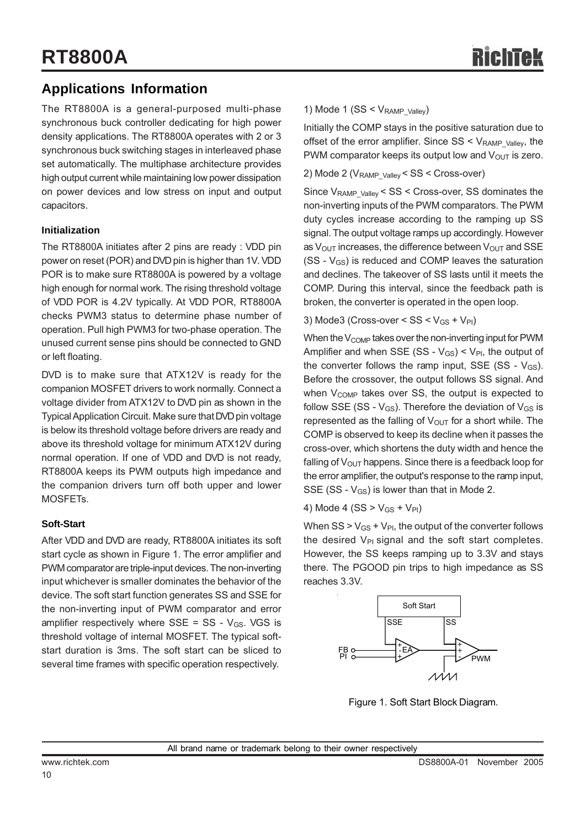## **Applications Information**

The RT8800A is a general-purposed multi-phase synchronous buck controller dedicating for high power density applications. The RT8800A operates with 2 or 3 synchronous buck switching stages in interleaved phase set automatically. The multiphase architecture provides high output current while maintaining low power dissipation on power devices and low stress on input and output capacitors.

#### **Initialization**

The RT8800A initiates after 2 pins are ready : VDD pin power on reset (POR) and DVD pin is higher than 1V. VDD POR is to make sure RT8800A is powered by a voltage high enough for normal work. The rising threshold voltage of VDD POR is 4.2V typically. At VDD POR, RT8800A checks PWM3 status to determine phase number of operation. Pull high PWM3 for two-phase operation. The unused current sense pins should be connected to GND or left floating.

DVD is to make sure that ATX12V is ready for the companion MOSFET drivers to work normally. Connect a voltage divider from ATX12V to DVD pin as shown in the Typical Application Circuit. Make sure that DVD pin voltage is below its threshold voltage before drivers are ready and above its threshold voltage for minimum ATX12V during normal operation. If one of VDD and DVD is not ready, RT8800A keeps its PWM outputs high impedance and the companion drivers turn off both upper and lower MOSFETs.

#### **Soft-Start**

After VDD and DVD are ready, RT8800A initiates its soft start cycle as shown in Figure 1. The error amplifier and PWM comparator are triple-input devices. The non-inverting input whichever is smaller dominates the behavior of the device. The soft start function generates SS and SSE for the non-inverting input of PWM comparator and error amplifier respectively where  $SSE = SS - V_{GS}$ . VGS is threshold voltage of internal MOSFET. The typical softstart duration is 3ms. The soft start can be sliced to several time frames with specific operation respectively.

#### 1) Mode 1 ( $SS < V_{RAMP}$  valley)

Initially the COMP stays in the positive saturation due to offset of the error amplifier. Since  $SS < V_{RAMP}$  valley, the PWM comparator keeps its output low and  $V_{OUT}$  is zero.

#### 2) Mode 2 (V<sub>RAMP\_Valley</sub> < SS < Cross-over)

Since VRAMP\_Valley < SS < Cross-over, SS dominates the non-inverting inputs of the PWM comparators. The PWM duty cycles increase according to the ramping up SS signal. The output voltage ramps up accordingly. However as  $V_{\text{OUT}}$  increases, the difference between  $V_{\text{OUT}}$  and SSE  $(SS - V_{GS})$  is reduced and COMP leaves the saturation and declines. The takeover of SS lasts until it meets the COMP. During this interval, since the feedback path is broken, the converter is operated in the open loop.

3) Mode3 (Cross-over <  $SS < V_{GS} + V_{Pl}$ )

When the  $V_{\text{COMP}}$  takes over the non-inverting input for PWM Amplifier and when SSE (SS -  $V_{GS}$ ) <  $V_{PI}$ , the output of the converter follows the ramp input, SSE (SS -  $V_{GS}$ ). Before the crossover, the output follows SS signal. And when  $V_{\text{COMP}}$  takes over SS, the output is expected to follow SSE (SS -  $V_{GS}$ ). Therefore the deviation of  $V_{GS}$  is represented as the falling of  $V_{\text{OUT}}$  for a short while. The COMP is observed to keep its decline when it passes the cross-over, which shortens the duty width and hence the falling of  $V_{\text{OUT}}$  happens. Since there is a feedback loop for the error amplifier, the output's response to the ramp input, SSE (SS -  $V_{GS}$ ) is lower than that in Mode 2.

4) Mode 4 (SS >  $V_{GS}$  +  $V_{PI}$ )

When  $SS > V_{GS} + V_{PI}$ , the output of the converter follows the desired  $V_{PI}$  signal and the soft start completes. However, the SS keeps ramping up to 3.3V and stays there. The PGOOD pin trips to high impedance as SS reaches 3.3V.



Figure 1. Soft Start Block Diagram.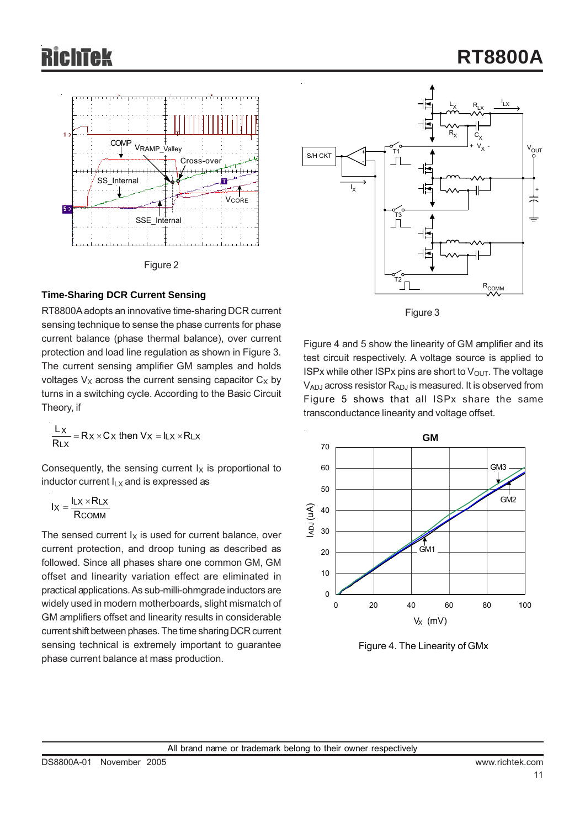

#### **Time-Sharing DCR Current Sensing**

RT8800A adopts an innovative time-sharing DCR current sensing technique to sense the phase currents for phase current balance (phase thermal balance), over current protection and load line regulation as shown in Figure 3. The current sensing amplifier GM samples and holds voltages  $V_X$  across the current sensing capacitor  $C_X$  by turns in a switching cycle. According to the Basic Circuit Theory, if

$$
\frac{L_X}{R_{LX}} = R_X \times C_X \text{ then } V_X = I_{LX} \times R_{LX}
$$

Consequently, the sensing current  $I_X$  is proportional to inductor current  $I_{LX}$  and is expressed as

$$
I_X = \frac{I_{LX} \times R_{LX}}{R_{COMM}}
$$

The sensed current  $I_X$  is used for current balance, over current protection, and droop tuning as described as followed. Since all phases share one common GM, GM offset and linearity variation effect are eliminated in practical applications. As sub-milli-ohmgrade inductors are widely used in modern motherboards, slight mismatch of GM amplifiers offset and linearity results in considerable current shift between phases. The time sharing DCR current sensing technical is extremely important to guarantee phase current balance at mass production.





Figure 4 and 5 show the linearity of GM amplifier and its test circuit respectively. A voltage source is applied to ISPx while other ISPx pins are short to  $V_{\text{OUT}}$ . The voltage  $V_{ADJ}$  across resistor  $R_{ADJ}$  is measured. It is observed from Figure 5 shows that all ISPx share the same transconductance linearity and voltage offset.



Figure 4. The Linearity of GMx

## **RT8800A**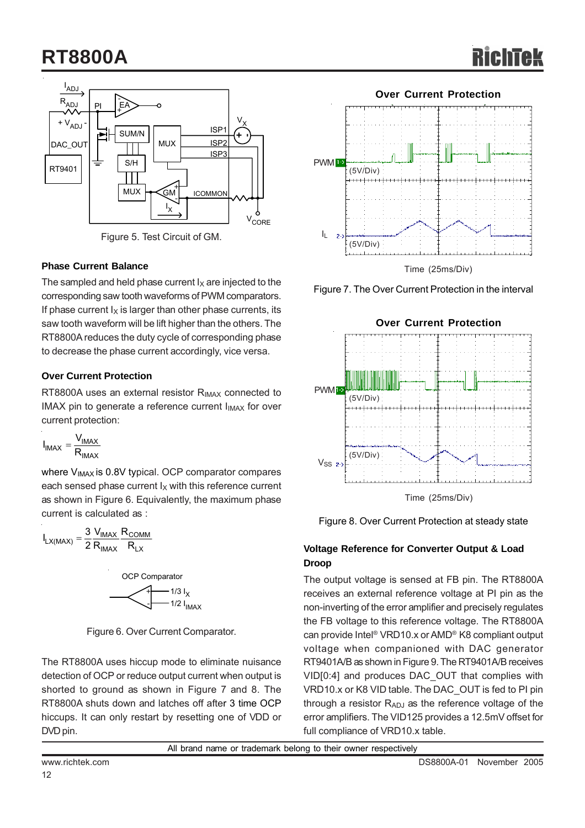## **RT8800A**



Figure 5. Test Circuit of GM.

#### **Phase Current Balance**

The sampled and held phase current  $I_X$  are injected to the corresponding saw tooth waveforms of PWM comparators. If phase current  $I_X$  is larger than other phase currents, its saw tooth waveform will be lift higher than the others. The RT8800A reduces the duty cycle of corresponding phase to decrease the phase current accordingly, vice versa.

#### **Over Current Protection**

RT8800A uses an external resistor  $R_{IMAX}$  connected to IMAX pin to generate a reference current  $I_{IMAX}$  for over current protection:

$$
I_{IMAX} = \frac{V_{IMAX}}{R_{IMAX}}
$$

where V<sub>IMAX</sub> is 0.8V typical. OCP comparator compares each sensed phase current  $I_X$  with this reference current as shown in Figure 6. Equivalently, the maximum phase current is calculated as :

$$
I_{LX(MAX)} = \frac{3}{2} \frac{V_{IMAX}}{R_{IMAX}} \frac{R_{COMM}}{R_{LX}}
$$



Figure 6. Over Current Comparator.

The RT8800A uses hiccup mode to eliminate nuisance detection of OCP or reduce output current when output is shorted to ground as shown in Figure 7 and 8. The RT8800A shuts down and latches off after 3 time OCP hiccups. It can only restart by resetting one of VDD or DVD pin.



Figure 7. The Over Current Protection in the interval



Figure 8. Over Current Protection at steady state

### **Voltage Reference for Converter Output & Load Droop**

The output voltage is sensed at FB pin. The RT8800A receives an external reference voltage at PI pin as the non-inverting of the error amplifier and precisely regulates the FB voltage to this reference voltage. The RT8800A can provide Intel® VRD10.x or AMD® K8 compliant output voltage when companioned with DAC generator RT9401A/B as shown in Figure 9. The RT9401A/B receives VID[0:4] and produces DAC\_OUT that complies with VRD10.x or K8 VID table. The DAC\_OUT is fed to PI pin through a resistor  $R_{ADJ}$  as the reference voltage of the error amplifiers. The VID125 provides a 12.5mV offset for full compliance of VRD10.x table.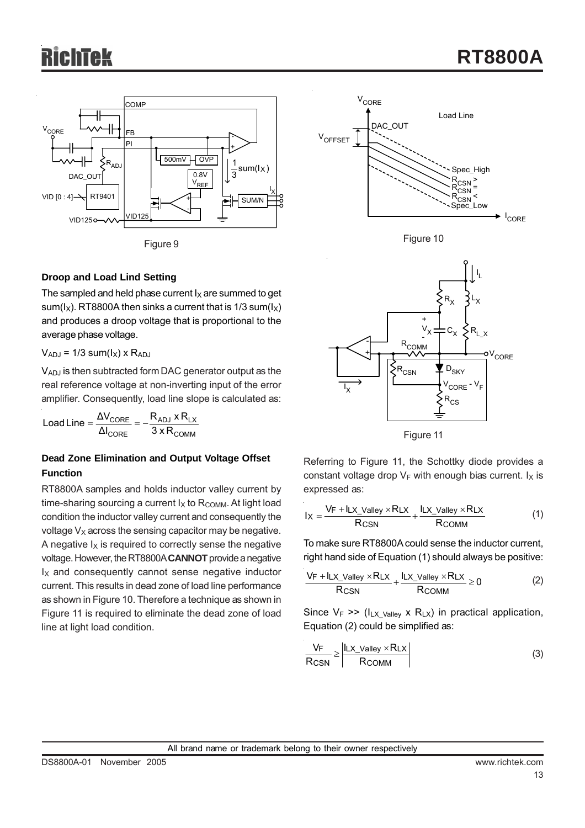



The sampled and held phase current  $I_X$  are summed to get sum( $I_X$ ). RT8800A then sinks a current that is 1/3 sum( $I_X$ ) and produces a droop voltage that is proportional to the average phase voltage.

 $V_{ADJ}$  = 1/3 sum( $I_X$ ) x  $R_{ADJ}$ 

VADJ is then subtracted form DAC generator output as the real reference voltage at non-inverting input of the error amplifier. Consequently, load line slope is calculated as:

COMM adj ^ nlx CORE CORE 3 x R  $R_{AD,I}$  x  $R$  $\textsf{Load Line} = \frac{\Delta \textsf{V}_{\textsf{CORE}}}{\Delta \textsf{I}_{\textsf{CORE}}} = -$ 

#### **Dead Zone Elimination and Output Voltage Offset Function**

RT8800A samples and holds inductor valley current by time-sharing sourcing a current  $I_X$  to  $R_{\text{COMM}}$ . At light load condition the inductor valley current and consequently the voltage  $V_X$  across the sensing capacitor may be negative. A negative  $I_X$  is required to correctly sense the negative voltage. However, the RT8800A **CANNOT** provide a negative  $I_X$  and consequently cannot sense negative inductor current. This results in dead zone of load line performance as shown in Figure 10. Therefore a technique as shown in Figure 11 is required to eliminate the dead zone of load line at light load condition.





Figure 11

Referring to Figure 11, the Schottky diode provides a constant voltage drop  $V_F$  with enough bias current.  $I_X$  is expressed as:

$$
I_X = \frac{V_F + I_{LX\_Valley} \times R_{LX}}{R_{CSN}} + \frac{I_{LX\_Valley} \times R_{LX}}{R_{COMM}}
$$
(1)

To make sure RT8800A could sense the inductor current, right hand side of Equation (1) should always be positive:

$$
\frac{V_F + I_{LX\_Valley} \times R_{LX}}{R_{CSN}} + \frac{I_{LX\_Valley} \times R_{LX}}{R_{COMM}} \ge 0
$$
 (2)

Since  $V_F$  >> ( $I_{LX}$  <sub>Valley</sub> x R<sub>LX</sub>) in practical application, Equation (2) could be simplified as:

$$
\frac{V_F}{R_{CSN}} \ge \left| \frac{I_{LX\_Valley} \times R_{LX}}{R_{COMM}} \right|
$$
 (3)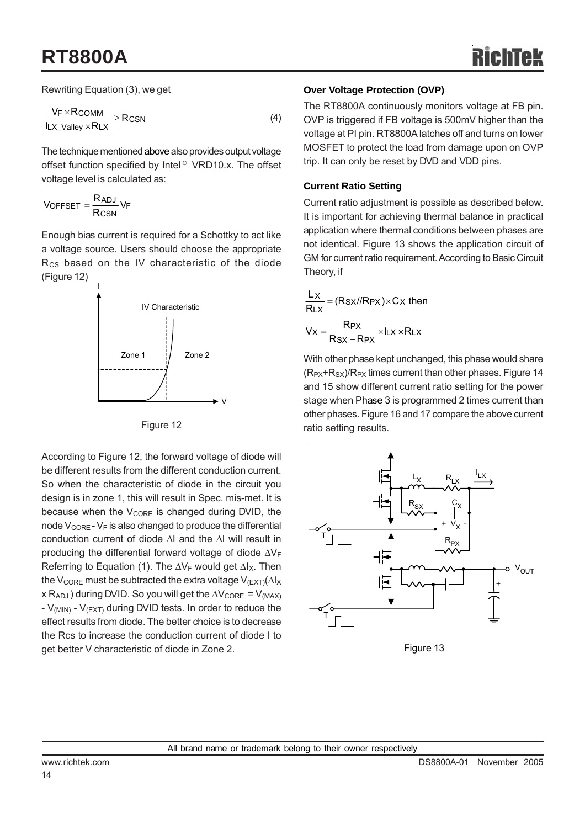## **RT8800A**

Rewriting Equation (3), we get

$$
\left| \frac{V_F \times R_{\text{COMM}}}{I_{\text{LX\_Valley}} \times R_{\text{LX}}} \right| \geq R_{\text{CSN}} \tag{4}
$$

The technique mentioned above also provides output voltage offset function specified by Intel ® VRD10.x. The offset voltage level is calculated as:

$$
V_{OFFSET} = \frac{R_{ADJ}}{R_{CSN}} V_F
$$

Enough bias current is required for a Schottky to act like a voltage source. Users should choose the appropriate R<sub>CS</sub> based on the IV characteristic of the diode (Figure 12)





According to Figure 12, the forward voltage of diode will be different results from the different conduction current. So when the characteristic of diode in the circuit you design is in zone 1, this will result in Spec. mis-met. It is because when the  $V_{\text{CORE}}$  is changed during DVID, the node  $V_{\text{CORE}}$  -  $V_F$  is also changed to produce the differential conduction current of diode ΔI and the ΔI will result in producing the differential forward voltage of diode ΔVF Referring to Equation (1). The  $\Delta V_F$  would get  $\Delta I_X$ . Then the V<sub>CORE</sub> must be subtracted the extra voltage V<sub>(EXT)</sub>( $\Delta$ l<sub>X</sub>  $x R_{ADJ}$ ) during DVID. So you will get the  $\Delta V_{CORE} = V_{(MAX)}$ -  $V_{(MIN)}$  -  $V_{(EXT)}$  during DVID tests. In order to reduce the effect results from diode. The better choice is to decrease the Rcs to increase the conduction current of diode I to get better V characteristic of diode in Zone 2.

#### **Over Voltage Protection (OVP)**

The RT8800A continuously monitors voltage at FB pin. OVP is triggered if FB voltage is 500mV higher than the voltage at PI pin. RT8800A latches off and turns on lower MOSFET to protect the load from damage upon on OVP trip. It can only be reset by DVD and VDD pins.

#### **Current Ratio Setting**

Current ratio adjustment is possible as described below. It is important for achieving thermal balance in practical application where thermal conditions between phases are not identical. Figure 13 shows the application circuit of GM for current ratio requirement. According to Basic Circuit Theory, if

$$
\frac{L_X}{R_{LX}} = (R_{SX}//R_{PX}) \times C_X \text{ then}
$$

$$
V_X = \frac{R_{PX}}{R_{SX} + R_{PX}} \times I_{LX} \times R_{LX}
$$

With other phase kept unchanged, this phase would share  $(R_{PX}+R_{SX})/R_{PX}$  times current than other phases. Figure 14 and 15 show different current ratio setting for the power stage when Phase 3 is programmed 2 times current than other phases. Figure 16 and 17 compare the above current ratio setting results.



Figure 13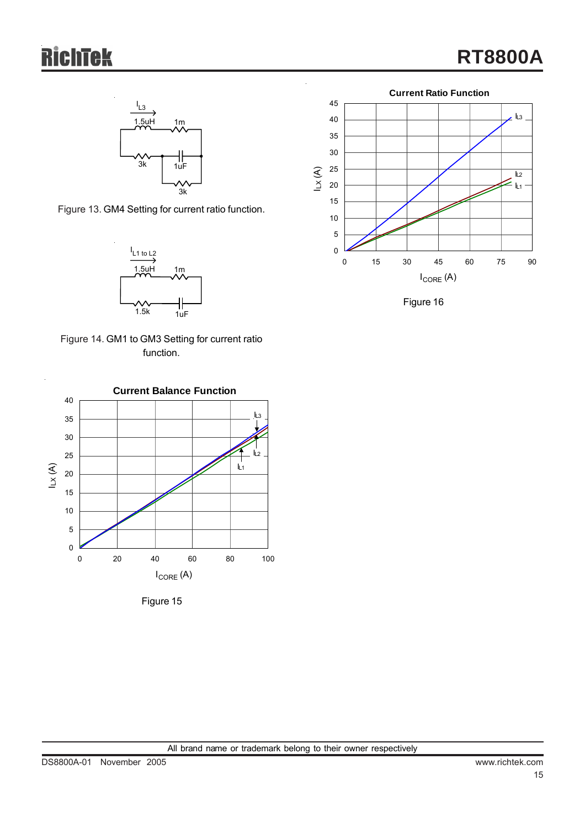# **Tek**



Figure 13. GM4 Setting for current ratio function.



Figure 14. GM1 to GM3 Setting for current ratio function.



Figure 15



Figure 16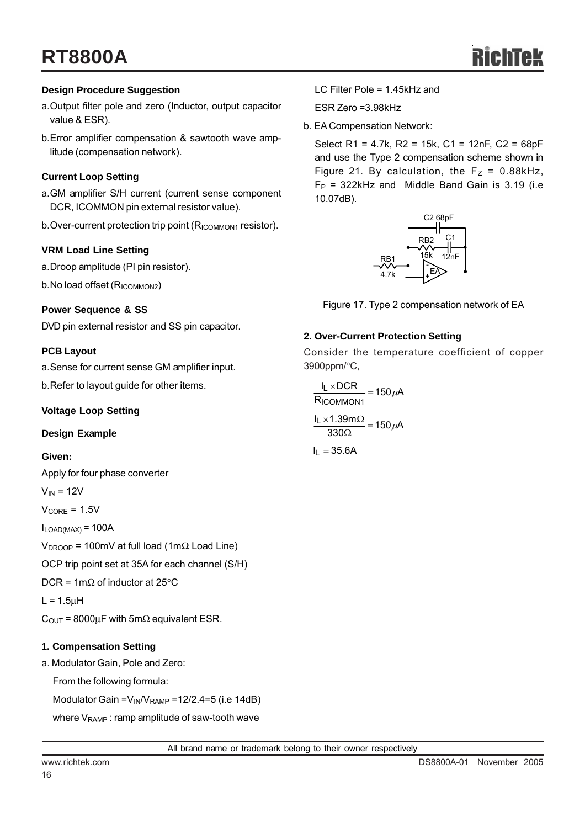## **RT8800A**

#### **Design Procedure Suggestion**

- a.Output filter pole and zero (Inductor, output capacitor value & ESR).
- b.Error amplifier compensation & sawtooth wave amplitude (compensation network).

#### **Current Loop Setting**

- a.GM amplifier S/H current (current sense component DCR, ICOMMON pin external resistor value).
- b. Over-current protection trip point (R<sub>ICOMMON1</sub> resistor).

#### **VRM Load Line Setting**

a.Droop amplitude (PI pin resistor).

b.No load offset (R<sub>ICOMMON2</sub>)

#### **Power Sequence & SS**

DVD pin external resistor and SS pin capacitor.

#### **PCB Layout**

a.Sense for current sense GM amplifier input.

b.Refer to layout guide for other items.

#### **Voltage Loop Setting**

#### **Design Example**

#### **Given:**

Apply for four phase converter

- $V_{IN}$  = 12V
- $V_{\text{CORE}} = 1.5V$

 $I_{LOAD(MAX)} = 100A$ 

V<sub>DROOP</sub> = 100mV at full load (1mΩ Load Line)

OCP trip point set at 35A for each channel (S/H)

DCR = 1m $\Omega$  of inductor at 25°C

 $L = 1.5$ μH

 $C<sub>OUT</sub> = 8000<sub>μ</sub>F with 5<sub>m</sub>Ω equivalent ESR.$ 

#### **1. Compensation Setting**

a. Modulator Gain, Pole and Zero:

From the following formula:

Modulator Gain =  $V_{IN}/V_{RAMP}$  = 12/2.4=5 (i.e 14dB)

where  $V_{\text{RAMP}}$ : ramp amplitude of saw-tooth wave

ESR Zero =3.98kHz

b. EA Compensation Network:

Select R1 = 4.7k, R2 = 15k, C1 = 12nF, C2 = 68pF and use the Type 2 compensation scheme shown in Figure 21. By calculation, the  $F_Z = 0.88kHz$ ,  $F_P$  = 322kHz and Middle Band Gain is 3.19 (i.e 10.07dB).



Figure 17. Type 2 compensation network of EA

#### **2. Over-Current Protection Setting**

Consider the temperature coefficient of copper 3900ppm/°C,

 $\frac{1.001132}{330\Omega} = 150 \mu \text{A}$  $\frac{I_L \times 1.39 \text{m}\Omega}{330 \Omega} = 150 \mu$  $\frac{12 \times 60 \times 1}{R_{\text{ICOMMON1}}}$  = 150  $\mu$ A lլ ×DCR ICOMMON1  $\frac{L \times DCR}{L} = 150 \mu$ 

 $I_L = 35.6A$ 

All brand name or trademark belong to their owner respectively

16

LC Filter Pole = 1.45kHz and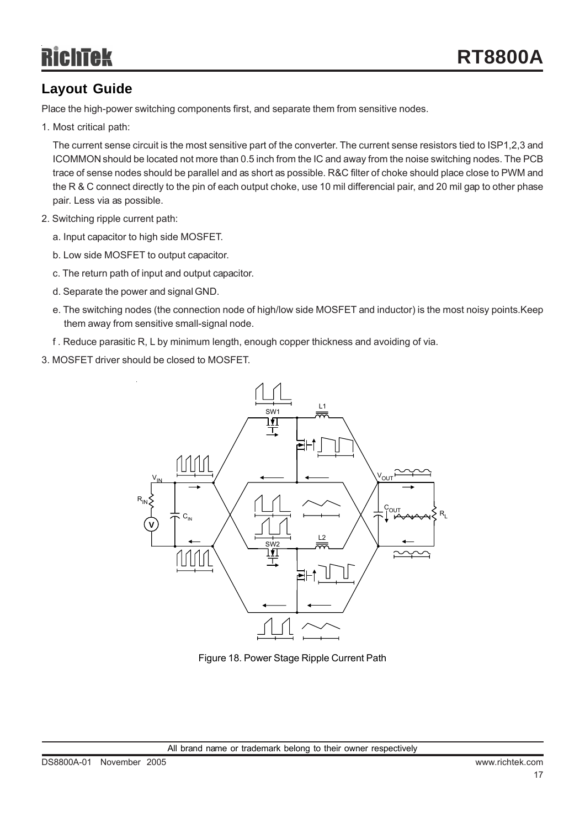## **Layout Guide**

Place the high-power switching components first, and separate them from sensitive nodes.

1. Most critical path:

The current sense circuit is the most sensitive part of the converter. The current sense resistors tied to ISP1,2,3 and ICOMMON should be located not more than 0.5 inch from the IC and away from the noise switching nodes. The PCB trace of sense nodes should be parallel and as short as possible. R&C filter of choke should place close to PWM and the R & C connect directly to the pin of each output choke, use 10 mil differencial pair, and 20 mil gap to other phase pair. Less via as possible.

- 2. Switching ripple current path:
	- a. Input capacitor to high side MOSFET.
	- b. Low side MOSFET to output capacitor.
	- c. The return path of input and output capacitor.
	- d. Separate the power and signal GND.
	- e. The switching nodes (the connection node of high/low side MOSFET and inductor) is the most noisy points.Keep them away from sensitive small-signal node.
	- f . Reduce parasitic R, L by minimum length, enough copper thickness and avoiding of via.
- 3. MOSFET driver should be closed to MOSFET.



Figure 18. Power Stage Ripple Current Path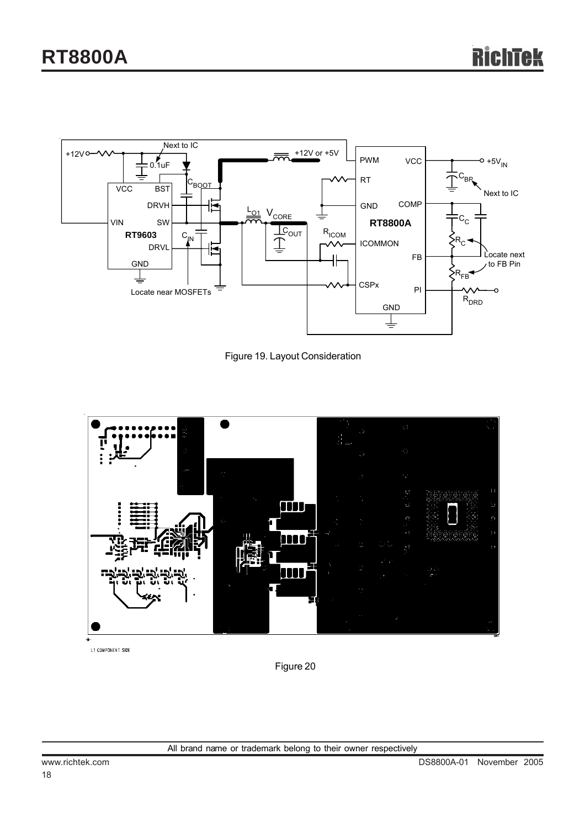

Figure 19. Layout Consideration



L1 COMPONENT SIDE

Figure 20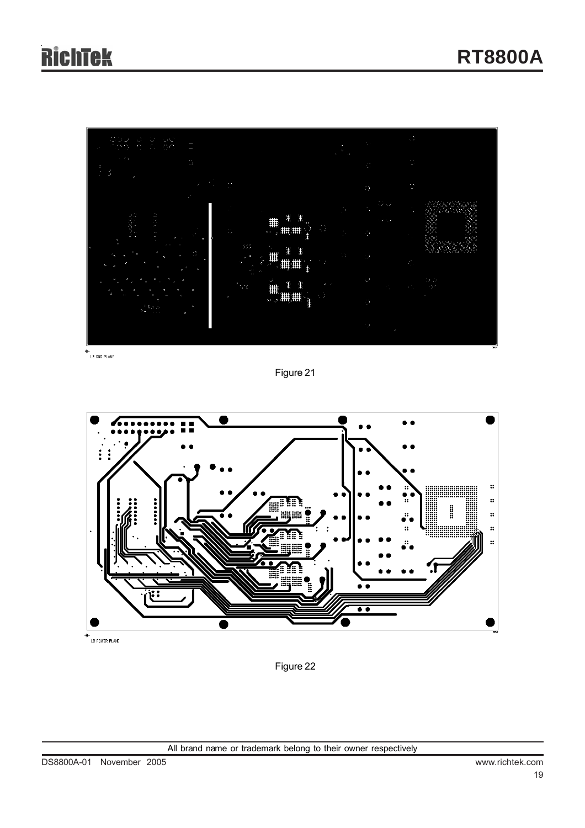

 $+$ <br>L2 GND PLANE

Figure 21



.<br>L3 POWER PLANE

Figure 22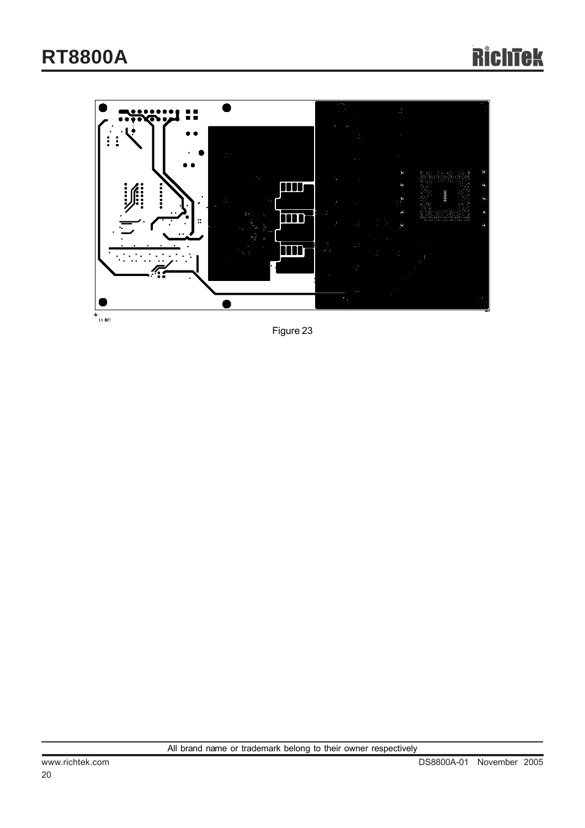

-<br>|14 BOT

Figure 23